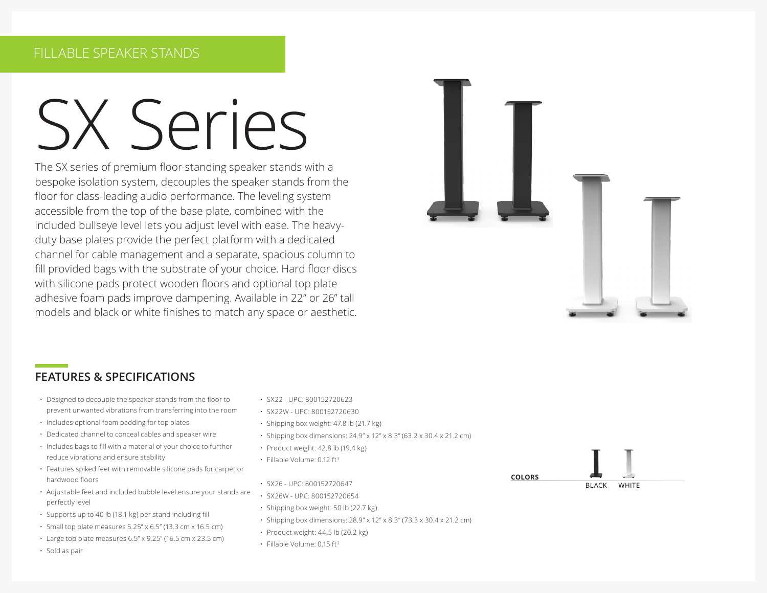# SX Series

The SX series of premium floor-standing speaker stands with a bespoke isolation system, decouples the speaker stands from the floor for class-leading audio performance. The leveling system accessible from the top of the base plate, combined with the included bullseye level lets you adjust level with ease. The heavyduty base plates provide the perfect platform with a dedicated channel for cable management and a separate, spacious column to fill provided bags with the substrate of your choice. Hard floor discs with silicone pads protect wooden floors and optional top plate adhesive foam pads improve dampening. Available in 22" or 26" tall models and black or white finishes to match any space or aesthetic.



#### **FEATURES & SPECIFICATIONS**

- Designed to decouple the speaker stands from the floor to prevent unwanted vibrations from transferring into the room
- Includes optional foam padding for top plates
- Dedicated channel to conceal cables and speaker wire
- Includes bags to fill with a material of your choice to further reduce vibrations and ensure stability
- Features spiked feet with removable silicone pads for carpet or hardwood floors
- Adjustable feet and included bubble level ensure your stands are perfectly level
- Supports up to 40 lb (18.1 kg) per stand including fill
- Small top plate measures 5.25" x 6.5" (13.3 cm x 16.5 cm)
- $\cdot$  Large top plate measures 6.5" x 9.25" (16.5 cm x 23.5 cm)
- Sold as pair
- SX22 UPC: 800152720623
- SX22W UPC: 800152720630
- Shipping box weight: 47.8 lb (21.7 kg)
- Shipping box dimensions: 24.9" x 12" x 8.3" (63.2 x 30.4 x 21.2 cm)
- Product weight: 42.8 lb (19.4 kg)
- Fillable Volume: 0.12 ft3
- SX26 UPC: 800152720647
- SX26W UPC: 800152720654
- Shipping box weight: 50 lb (22.7 kg)
- Shipping box dimensions: 28.9" x 12" x 8.3" (73.3 x 30.4 x 21.2 cm)
- Product weight: 44.5 lb (20.2 kg)
- Fillable Volume: 0.15 ft3